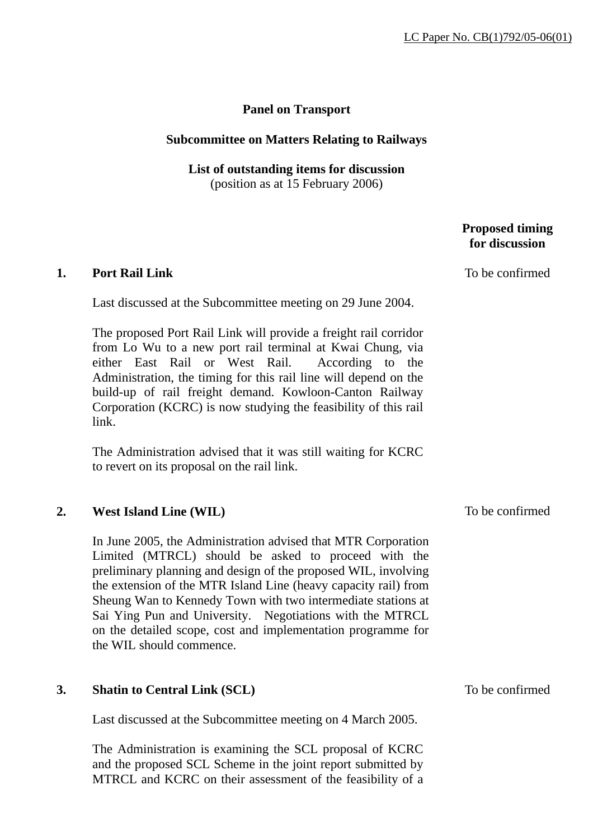# **Panel on Transport**

### **Subcommittee on Matters Relating to Railways**

**List of outstanding items for discussion**  (position as at 15 February 2006)

## **Proposed timing for discussion**

#### **1. Port Rail Link**

Last discussed at the Subcommittee meeting on 29 June 2004.

The proposed Port Rail Link will provide a freight rail corridor from Lo Wu to a new port rail terminal at Kwai Chung, via either East Rail or West Rail. According to the Administration, the timing for this rail line will depend on the build-up of rail freight demand. Kowloon-Canton Railway Corporation (KCRC) is now studying the feasibility of this rail link.

The Administration advised that it was still waiting for KCRC to revert on its proposal on the rail link.

### **2. West Island Line (WIL)**

In June 2005, the Administration advised that MTR Corporation Limited (MTRCL) should be asked to proceed with the preliminary planning and design of the proposed WIL, involving the extension of the MTR Island Line (heavy capacity rail) from Sheung Wan to Kennedy Town with two intermediate stations at Sai Ying Pun and University. Negotiations with the MTRCL on the detailed scope, cost and implementation programme for the WIL should commence.

### **3. Shatin to Central Link (SCL)**

Last discussed at the Subcommittee meeting on 4 March 2005.

The Administration is examining the SCL proposal of KCRC and the proposed SCL Scheme in the joint report submitted by MTRCL and KCRC on their assessment of the feasibility of a To be confirmed

To be confirmed

To be confirmed